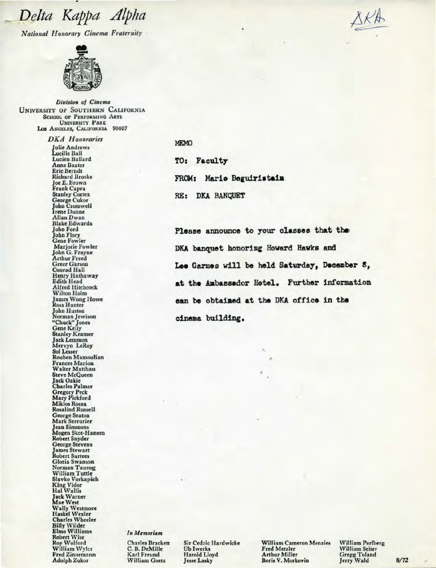**National Honorary Cinema Fraternity** 



Division of Cinema **UNIVERSITY OF SOUTHERN CALIFORNIA SCHOOL OF PERFORMING ARTS UNIVERSITY PARK** LOS ANGELES, CALIFORNIA 90007

> **DKA** Honoraries Julie Andrews Lucille Ball **Lucien Ballard Anne Baxter Eric Berndt Richard Brooks** Joe E. Brown<br>Frank Capra **Stanley Cortez**<br>George Cukor **John Cromwell Irene Dunne Allan Dwan Blake Edwards** John Ford **John Flory Gene Fowler** Marjorie Fowler John G. Frayne Arthur Freed<br>Greer Garson Conrad Hall Henry Hathaway Edith Head **Alfred Hitchcock** Wilton Holm James Wong Howe **Ross Hunter** John Huston<br>Norman Jewison<br>"Chuck" Jones<br>Gene Kelly **Stanley Kramer Jack Lemmon** Mervyn LeRoy Sol Lesser Rouben Mamoulian **Frances Marion** Walter Matthau **Steve McQueen** Jack Oakie<br>Charles Palmer Gregory Peck<br>Mary Pickford<br>Miklos Rosza **Rosalind Russell** George Seaton Mark Serrurier Jean Simmons<br>Mogen Skot-Hansen Robert Snyder **George Stevens James Stewart Robert Surtees** Gloria Swanson Norman Taurog William Tuttle Slavko Vorkapich King Vidor<br>Hal Wallis Hat Wains<br>
> Jack Warner<br>
> Mae West<br>
> Wally Westmore<br>
> Haskel Wexler<br>
> Charles Wheeler<br>
> Billy Willier **Elmo Williams Robert Wise** Roy Wolford<br>William Wyler **Fred Zinnemann Adolph Zukor**

### MEMO

TO: Faculty

FROM: Mario Beguiristain RE: DKA BANQUET

Please announce to your classes that the DKA banquet honoring Howard Hawks and Lee Garmes will be held Saturday, December 8, at the Ambassador Hotel. Further information can be obtained at the DKA office in the cinema building.

#### In Memoriam

**Charles Brackett** C. B. DeMille Karl Freund **William Goetz** 

Sir Cedric Hardwicke **Ub Iwerks Harold Lloyd** Jesse Lasky

**William Cameron Menzies** Fred Metzler **Arthur Miller** Boris V. Morkovin

William Perlberg William Seiter **Gregg Toland** Jerry Wald

 $8/72$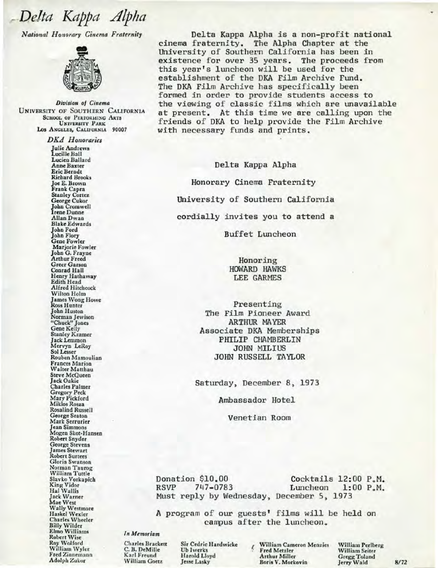National Honorary Cinema Fraternity



Division of Cinema **UNIVERSITY OF SOUTHERN CALIFORNIA SCHOOL OF PERFORMING ARTS UNIVERSITY PARK** LOS ANGELES, CALIFORNIA 90007

> **DKA** Honoraries **Julie Andrews** Lucille Ball Lucien Ballard **Anne Baxter Eric Berndt Richard Brooks** Joe E. Brown<br>Frank Capra **Stanley Cortez** George Cukor **John Cromwell Irene Dunne Allan Dwan Blake Edwards John Ford John Flory Gene Fowler** Marjorie Fowler John G. Frayne **Arthur Freed Greer Garson** Conrad Hall Henry Hathaway Edith Head Alfred Hitchcock Wilton Holm James Wong Howe<br>Ross Hunter John Huston<br>Norman Jewison "Chuck" Jones<br>Gene Kelly **Stanley Kramer** Jack Lemmon<br>Mervyn LeRoy **Sol Lesser** Rouben Mamoulian **Frances Marion Walter Matthau** Steve McQueen<br>Jack Oakie **Charles Palmer** Gregory Peck<br>Mary Pickford Miklos Rosza **Rosalind Russell** George Seaton Mark Serrurier Jean Simmons<br>Mogen Skot-Hansen Robert Snyder George Stevens **James Stewart Robert Surtees** Gloria Swanson Norman Taurog William Tuttle Slavko Vorkapich **King Vidor**<br>Hal Wallis **Jack Warner** Mae West Wally Westmore<br>Haskel Wexler **Charles Wheeler Billy Wilder<br>Elmo Williams Robert Wise Roy Wolford** William Wyler Fred Zinnemann Adolph Zukor

Delta Kappa Alpha is a non-profit national cinema fraternity. The Alpha Chapter at the University of Southern California has been in existence for over 35 years. The proceeds from this year's luncheon will be used for the establishment of the DKA Film Archive Fund. The DKA Film Archive has specifically been formed in order to provide students access to the viewing of classic films which are unavailable at present. At this time we are calling upon the friends of DKA to help provide the Film Archive with necessary funds and prints.

Delta Kappa Alpha Honorary Cinema Fraternity University of Southern California cordially invites you to attend a

Buffet Luncheon

Honoring **HOWARD HAWKS LEE GARMES** 

Presenting The Film Pioneer Award **ARTHUR MAYER** Associate DKA Memberships PHILIP CHAMBERLIN **JOHN MILIUS** JOHN RUSSELL TAYLOR

Saturday, December 8, 1973

Ambassador Hotel

Venetian Room

Donation \$10.00 Cocktails 12:00 P.M. **RSVP** 747-0783 Luncheon  $1:00$   $P.M.$ Must reply by Wednesday, December 5, 1973

A program of our guests' films will be held on campus after the luncheon.

#### In Memoriam

**Charles Brackett** C. B. DeMille Karl Freund **William Goetz** 

Sir Cedric Hardwicke **Ub Iwerks** Harold Lloyd Jesse Lasky

William Cameron Menzies Fred Metzler **Arthur Miller** Boris V. Morkovin

William Perlberg William Seiter **Gregg Toland** Jerry Wald

 $8/72$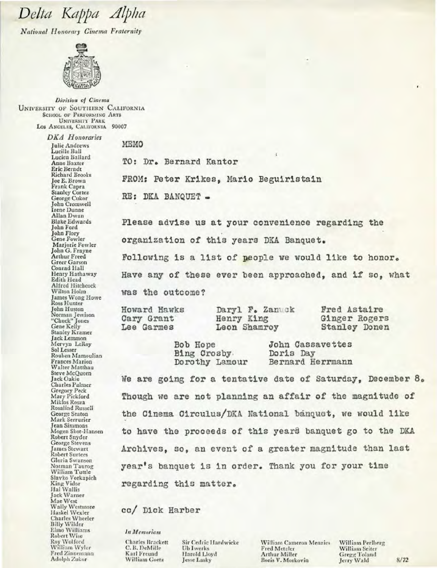National Honorary Cinema Fraternity



Division of Cinema **UNIVERSITY OF SOUTHERN CALIFORNIA SCHOOL OF PERFORMING ARTS UNIVERSITY PARK** LOS ANGELES, CALIFORNIA 90007

> **DKA** Honoraries **Inlie Andrews** Lucille Ball Lucien Ballard **Anne Baxter** Eric Berndt **Richard Brooks Joe E. Brown** Frank Capra **Stanley Cortez** George Cukor<br>John Cromwell **Irene Dunne** Allan Dwan **Blake Edwards** John Ford John Flory **Gene Fowler** Marjorie Fowler John G. Frayne Arthur Freed Greer Garson<br>Conrad Hall Henry Hathaway Edith Head Alfred Hitchcock Wilton Holm James Wong Howe Ross Hunter John Huston Norman Jewison<br>"Chuck" Jones Gene Kelly **Stanley Kramer** Jack Lemmon<br>Mervyn LeRoy Sol Lesser Rouben Mamoulian **Frances Marion** Walter Matthau Steve McQueen Jack Oakie Gregory Peck<br>Mary Pickford Miklos Rosza Rosalind Russell George Seaton Mark Serrurier **Jean Simmons** Mogen Skot-Hansen Robert Snyder **George Stevens James Stewart** Robert Surtees Gloria Swanson Norman Taurog William Tuttle Slavko Vorkapich<br>King Vidor<br>Hal Wallis Jack Warner<br>Mae West Wally Westmore Haskel Wexler **Charles Wheeler Billy Wilder** Elmo Williams **Robert Wise** Roy Wolford<br>William Wyler Fred Zinnemann Adolph Zukor

**MEMO** TO: Dr. Bernard Kantor FROM: Peter Krikes, Mario Beguiristain RE: DKA BANQUET -

Please advise us at your convenience regarding the organization of this years DKA Banquet.

Following is a list of people we would like to honor. Have any of these ever been approached, and if so, what was the outcome?

Howard Hawks Cary Grant Lee Garmes

Daryl F. Zanuck Henry King Leon Shamroy

Fred Astaire Ginger Rogers **Stanley Donen** 

Bob Hope Bing Crosby. Dorothy Lamour **John Cassavettes** Doris Day Bernard Herrmann

We are going for a tentative date of Saturday, December 8. Though we are not planning an affair of the magnitude of the Cinema Circulus/DKA National banquet, we would like to have the proceeds of this years banquet go to the DKA Archives, so, an event of a greater magnitude than last year's banquet is in order. Thank you for your time regarding this matter.

cc/ Dick Harber

In Memoriam

Charles Brackett C. B. DeMille Karl Freund William Goetz

Sir Cedric Hardwicke **Ub Iwerks** Harold Lloyd Jesse Lasky

**William Cameron Menzies** Fred Metzler Arthur Miller Boris V. Morkovin

William Perlberg William Seiter **Gregg Toland** Jerry Wald

 $8/72$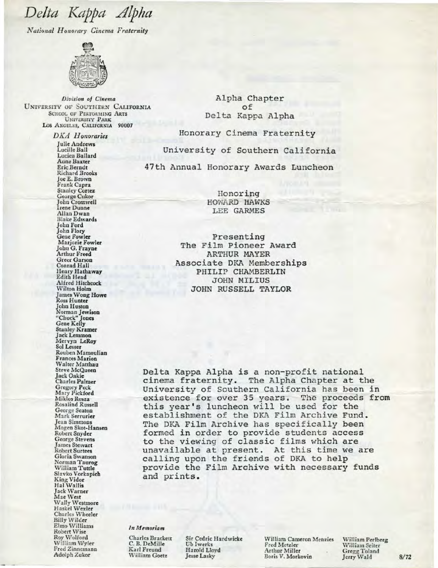*National Honorary Cinema Fraternity* 



*Division of Cinema* UNIVERSITY OF SOUTHERN CALIFORNIA SCHOOL OF PERFORMING ARTS UNIVERSITY PARK LOS ANGELES, CALIFORNIA 90007

> *DKA* Ii *onorarics*  Julie Andrews Lucille Hall Lucien Ballard **Aune Baxter** Eric Berndt Richard Brooks joe E. Brown Frank Capra<br>Stanley Cortez George Cukor John Cromwell John Cromwell<br>Irene Dunne Allan Dwan Blake Edwards John Ford John Flory<br>Gene Fowler Marjorie Fowler Johu G. Frayne Arthur Freed Conrad Hall Henry Hathaway Edith Head Alfred Hitchcock Wilton Holm James Wong Howe<br>Ross Hunter Ross Hunter John Huston Norman Jewisoo "Chuck" jones Gene Kelly Stanley Kramer<br>Jack Lemmon Mervyn LeRoy<br>Sol Lesser Sol Lesser<br>Rouben Mamoulian Frances Marion Walter Matthau Steve McQueen Jack Oakie Charles Palmer Gregory Peck Ma ry Pickford Miklos Rosza Rosalind Russell George Seaton Mark Serrurier<br>Jean Simmons Mogen Skot-Hansen Robert Snyder George Stevens James Stewart Robert Surtees Norman Taurog William Tuttle Slavko Vorkapich King Vidor<br>Hal Wallis Jack \Varner Mae West Wally Westmore Haske! Wexler Charles Wheeler<br>Billy Wilder<br>Elmo Williams Elmo Williams<br>Robert Wise Roy Wolford William Wyler Fred Zinnemann Adolph Zukor

Alpha Chapter of Delta Kappa Alpha

Honorary Cinema Fraternity

University of Southern California

47th Annual Honorary Awards Luncheon

Honoring HOWARD HAWKS LEE GARMES

Presenting The Film Pioneer Award ARTHUR MAYER Associate DKA Memberships PHILIP CHAMBERLIN JOHN MILIUS JOHN RUSSELL TAYLOR

Delta Kappa Alpha is a non-profit national cinema fraternity. The Alpha Chapter at the University of Southern California has been in existence for over 35 years. The proceeds from this year's luncheon will be used for the establishment of the DKA Film Archive Fund . The DKA Film Archive has specifically been formed in order to provide students access to the viewing of classic films which are unavailable at present. At this time we are calling upon the friends of DKA to help provide the Film Archive with necessary funds and prints.

*1111\fl!rnoriam* 

Charles Brackett C. B. DeMille Karl Freund William Goetz

Sir Cedric Hardwicke Ub Jwerks Harold Lloyd Jesse Lasky

William Cameron Menzies Fred Metzler Arthur Miller Boris V. Morkovio

William Perlberg William Seiter Gregg Toland Jerry Wald 8/72